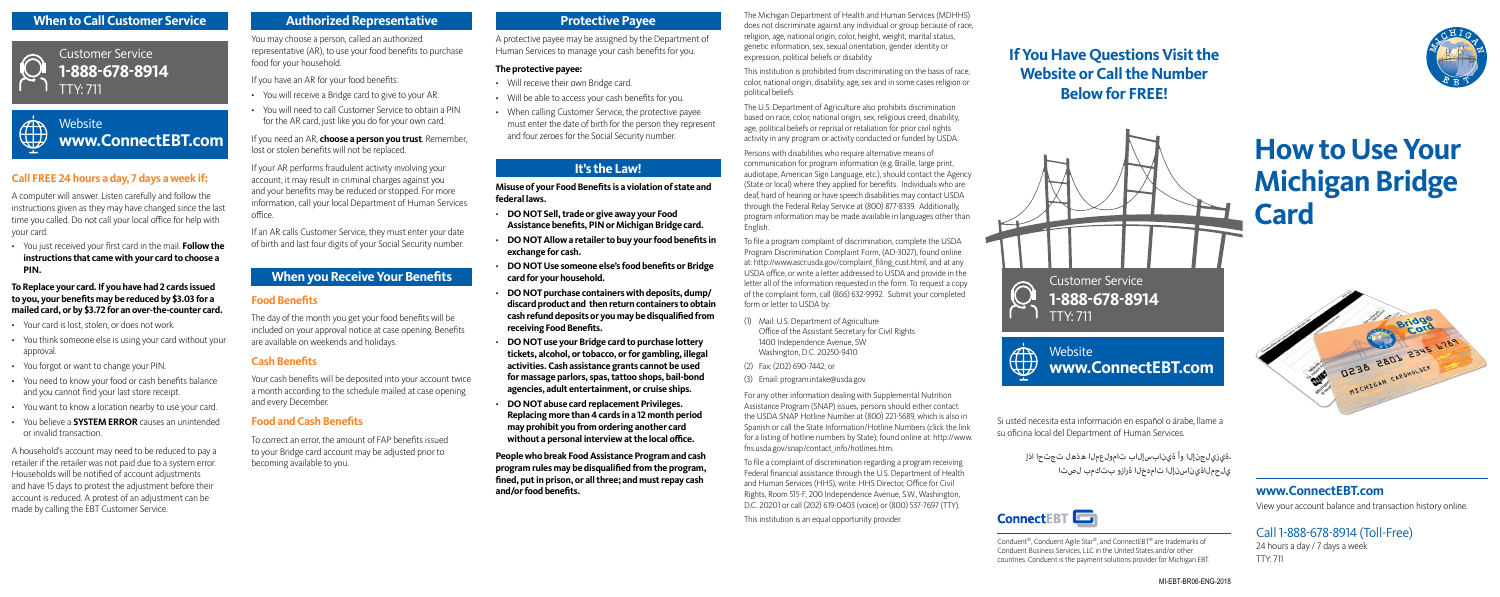Si usted necesita esta información en español o árabe, llame a su oficina local del Department of Human Services.

> ،ةيزيلجنإلا وأ ةينابسإلاب تامولعملا هذهل تجتحا اذإ يلحملاةيناسنإلا تامدخلا ةرازو بتكمب لصتا



A protective payee may be assigned by the Department of Human Services to manage your cash benefits for you.

#### **The protective payee:**

- Will receive their own Bridge card.
- Will be able to access your cash benefits for you.
- When calling Customer Service, the protective payee must enter the date of birth for the person they represent and four zeroes for the Social Security number.

# **It's the Law!**

**Misuse of your Food Benefits is a violation of state and federal laws.**

- **DO NOT Sell, trade or give away your Food Assistance benefits, PIN or Michigan Bridge card.**
- **DO NOT Allow a retailer to buy your food benefits in exchange for cash.**
- **DO NOT Use someone else's food benefits or Bridge card for your household.**
- **DO NOT purchase containers with deposits, dump/ discard product and then return containers to obtain cash refund deposits or you may be disqualified from receiving Food Benefits.**
- **DO NOT use your Bridge card to purchase lottery tickets, alcohol, or tobacco, or for gambling, illegal activities. Cash assistance grants cannot be used for massage parlors, spas, tattoo shops, bail-bond agencies, adult entertainment, or cruise ships.**
- **DO NOT abuse card replacement Privileges. Replacing more than 4 cards in a 12 month period may prohibit you from ordering another card without a personal interview at the local office.**

**People who break Food Assistance Program and cash program rules may be disqualified from the program, fined, put in prison, or all three; and must repay cash and/or food benefits.**

The Michigan Department of Health and Human Services (MDHHS) does not discriminate against any individual or group because of race, religion, age, national origin, color, height, weight, marital status, genetic information, sex, sexual orientation, gender identity or expression, political beliefs or disability.

This institution is prohibited from discriminating on the basis of race, color, national origin, disability, age, sex and in some cases religion or political beliefs

# **Website www.ConnectEBT.com**

The U.S. Department of Agriculture also prohibits discrimination based on race, color, national origin, sex, religious creed, disability, age, political beliefs or reprisal or retaliation for prior civil rights activity in any program or activity conducted or funded by USDA.

Persons with disabilities who require alternative means of communication for program information (e.g. Braille, large print, audiotape, American Sign Language, etc.), should contact the Agency (State or local) where they applied for benefits. Individuals who are deaf, hard of hearing or have speech disabilities may contact USDA through the Federal Relay Service at (800) 877-8339. Additionally, program information may be made available in languages other than English.

To file a program complaint of discrimination, complete the USDA Program Discrimination Complaint Form, (AD-3027), found online at: http://www.ascr.usda.gov/complaint\_filing\_cust.html, and at any USDA office, or write a letter addressed to USDA and provide in the letter all of the information requested in the form. To request a copy of the complaint form, call (866) 632-9992. Submit your completed form or letter to USDA by:

- (1) Mail: U.S. Department of Agriculture Office of the Assistant Secretary for Civil Rights 1400 Independence Avenue, SW Washington, D.C. 20250-9410
- (2) Fax: (202) 690-7442; or
- (3) Email: program.intake@usda.gov.

**Website**  $A\rightarrow$ **ATA www.ConnectEBT.com**

For any other information dealing with Supplemental Nutrition Assistance Program (SNAP) issues, persons should either contact the USDA SNAP Hotline Number at (800) 221-5689, which is also in Spanish or call the State Information/Hotline Numbers (click the link for a listing of hotline numbers by State); found online at: http://www. fns.usda.gov/snap/contact\_info/hotlines.htm.

To file a complaint of discrimination regarding a program receiving Federal financial assistance through the U.S. Department of Health and Human Services (HHS), write: HHS Director, Office for Civil Rights, Room 515-F, 200 Independence Avenue, S.W., Washington, D.C. 20201 or call (202) 619-0403 (voice) or (800) 537-7697 (TTY).

This institution is an equal opportunity provider.

# **How to Use Your Michigan Bridge Card**



# **www.ConnectEBT.com**

View your account balance and transaction history online.

# Call 1-888-678-8914 (Toll-Free)

24 hours a day / 7 days a week TTY: 711

# **Mhen to Call Customer Service <b>Protective Payee** Authorized Representative **Protective Payee Protective Payee**



Customer Service **1-888-678-8914** TTY: 711



# **Call FREE 24 hours a day, 7 days a week if:**

A computer will answer. Listen carefully and follow the instructions given as they may have changed since the last time you called. Do not call your local office for help with your card.

• You just received your first card in the mail. **Follow the instructions that came with your card to choose a PIN.**

**To Replace your card. If you have had 2 cards issued to you, your benefits may be reduced by \$3.03 for a mailed card, or by \$3.72 for an over-the-counter card.**

- Your card is lost, stolen, or does not work.
- You think someone else is using your card without your approval.
- You forgot or want to change your PIN.
- You need to know your food or cash benefits balance and you cannot find your last store receipt.
- You want to know a location nearby to use your card.
- You believe a **SYSTEM ERROR** causes an unintended or invalid transaction.

A household's account may need to be reduced to pay a retailer if the retailer was not paid due to a system error. Households will be notified of account adjustments and have 15 days to protest the adjustment before their account is reduced. A protest of an adjustment can be made by calling the EBT Customer Service.

### **Authorized Representative**

You may choose a person, called an authorized representative (AR), to use your food benefits to purchase food for your household.

If you have an AR for your food benefits:

- You will receive a Bridge card to give to your AR.
- You will need to call Customer Service to obtain a PIN for the AR card, just like you do for your own card.

If you need an AR, **choose a person you trust**. Remember, lost or stolen benefits will not be replaced.

If your AR performs fraudulent activity involving your account, it may result in criminal charges against you and your benefits may be reduced or stopped. For more information, call your local Department of Human Services office.

If an AR calls Customer Service, they must enter your date of birth and last four digits of your Social Security number.

# **When you Receive Your Benefits**

#### **Food Benefits**

The day of the month you get your food benefits will be included on your approval notice at case opening. Benefits are available on weekends and holidays.

#### **Cash Benefits**

Your cash benefits will be deposited into your account twice a month according to the schedule mailed at case opening and every December.

#### **Food and Cash Benefits**

To correct an error, the amount of FAP benefits issued to your Bridge card account may be adjusted prior to becoming available to you.



# **If You Have Questions Visit the Website or Call the Number Below for FREE!**

Conduent®, Conduent Agile Star®, and ConnectEBT® are trademarks of Conduent Business Services, LLC in the United States and/or other countries. Conduent is the payment solutions provider for Michigan EBT.